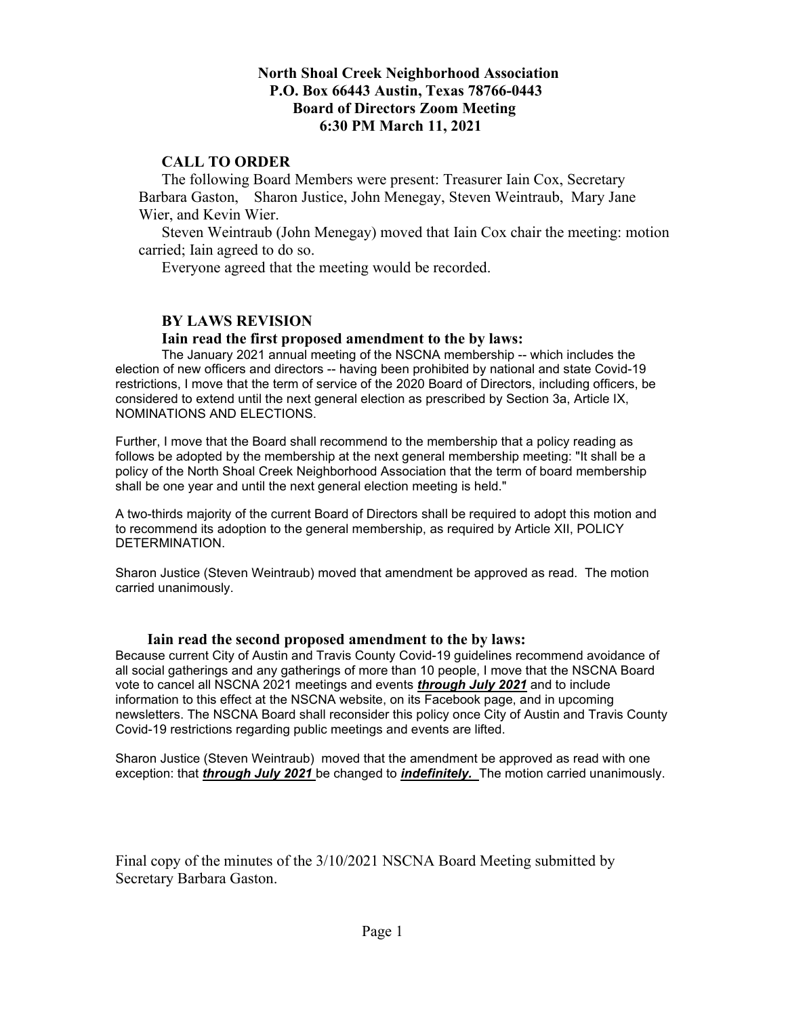## **North Shoal Creek Neighborhood Association P.O. Box 66443 Austin, Texas 78766-0443 Board of Directors Zoom Meeting 6:30 PM March 11, 2021**

## **CALL TO ORDER**

The following Board Members were present: Treasurer Iain Cox, Secretary Barbara Gaston, Sharon Justice, John Menegay, Steven Weintraub, Mary Jane Wier, and Kevin Wier.

Steven Weintraub (John Menegay) moved that Iain Cox chair the meeting: motion carried; Iain agreed to do so.

Everyone agreed that the meeting would be recorded.

### **BY LAWS REVISION**

#### **Iain read the first proposed amendment to the by laws:**

The January 2021 annual meeting of the NSCNA membership -- which includes the election of new officers and directors -- having been prohibited by national and state Covid-19 restrictions, I move that the term of service of the 2020 Board of Directors, including officers, be considered to extend until the next general election as prescribed by Section 3a, Article IX, NOMINATIONS AND ELECTIONS.

Further, I move that the Board shall recommend to the membership that a policy reading as follows be adopted by the membership at the next general membership meeting: "It shall be a policy of the North Shoal Creek Neighborhood Association that the term of board membership shall be one year and until the next general election meeting is held."

A two-thirds majority of the current Board of Directors shall be required to adopt this motion and to recommend its adoption to the general membership, as required by Article XII, POLICY DETERMINATION.

Sharon Justice (Steven Weintraub) moved that amendment be approved as read. The motion carried unanimously.

#### **Iain read the second proposed amendment to the by laws:**

Because current City of Austin and Travis County Covid-19 guidelines recommend avoidance of all social gatherings and any gatherings of more than 10 people, I move that the NSCNA Board vote to cancel all NSCNA 2021 meetings and events *through July 2021* and to include information to this effect at the NSCNA website, on its Facebook page, and in upcoming newsletters. The NSCNA Board shall reconsider this policy once City of Austin and Travis County Covid-19 restrictions regarding public meetings and events are lifted.

Sharon Justice (Steven Weintraub) moved that the amendment be approved as read with one exception: that *through July 2021* be changed to *indefinitely.* The motion carried unanimously.

Final copy of the minutes of the 3/10/2021 NSCNA Board Meeting submitted by Secretary Barbara Gaston.